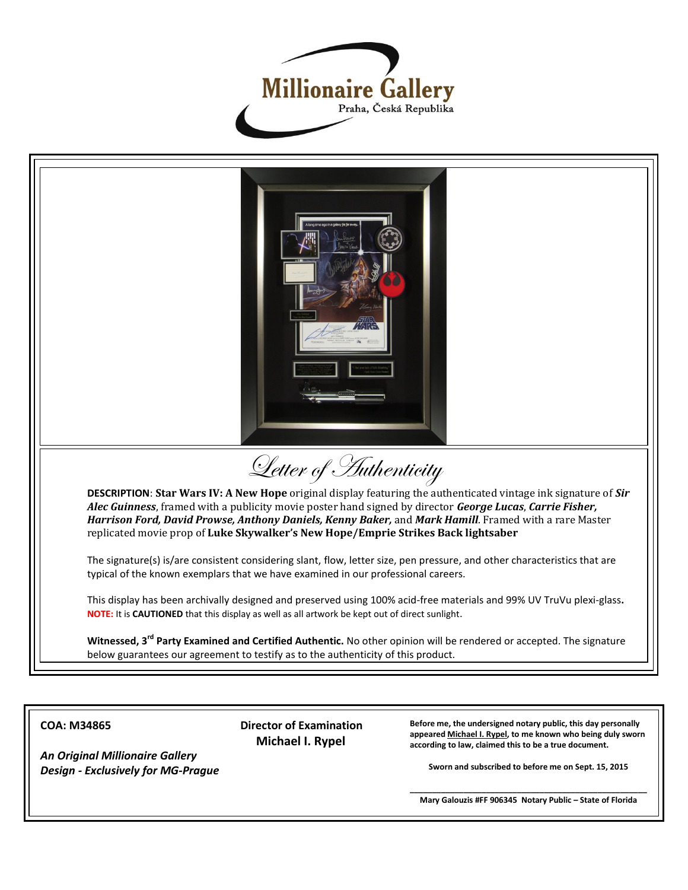



**COA: M34865**

*An Original Millionaire Gallery Design - Exclusively for MG-Prague*  **Director of Examination Michael I. Rypel**

**Before me, the undersigned notary public, this day personally appeared Michael I. Rypel, to me known who being duly sworn according to law, claimed this to be a true document.**

**Sworn and subscribed to before me on Sept. 15, 2015**

**\_\_\_\_\_\_\_\_\_\_\_\_\_\_\_\_\_\_\_\_\_\_\_\_\_\_\_\_\_\_\_\_\_\_\_\_\_\_\_\_\_\_\_\_\_\_\_\_\_\_\_\_\_ Mary Galouzis #FF 906345 Notary Public – State of Florida**